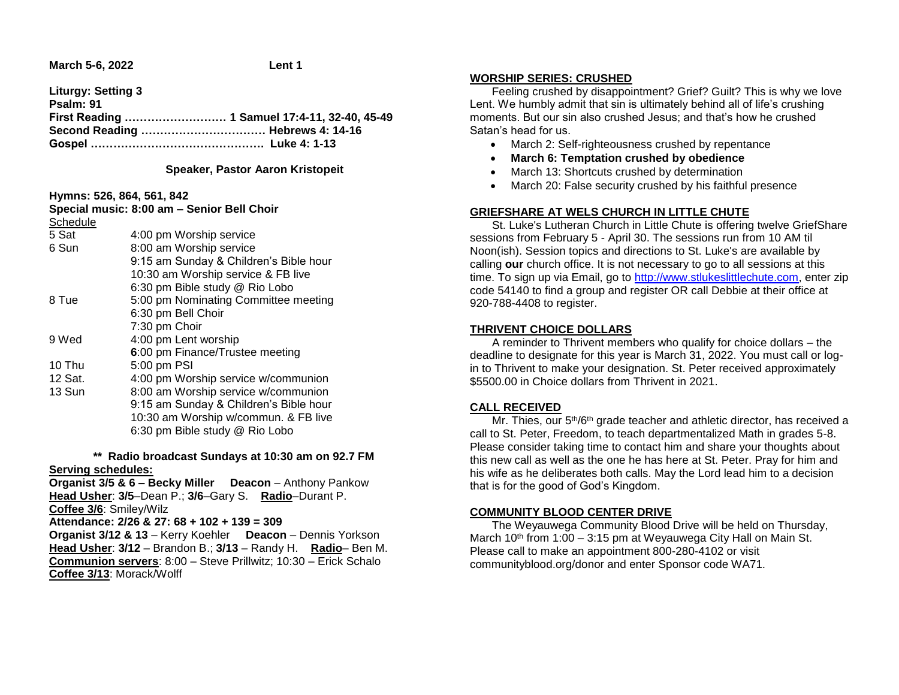**March 5-6, 2022 Lent 1** 

**Liturgy: Setting 3** 

| Psalm: 91 |                                               |
|-----------|-----------------------------------------------|
|           | First Reading  1 Samuel 17:4-11, 32-40, 45-49 |
|           |                                               |
|           |                                               |

#### **Speaker, Pastor Aaron Kristopeit**

**Hymns: 526, 864, 561, 842 Special music: 8:00 am – Senior Bell Choir**

|          | Special music: 8:00 am – Senior Bell Choir |
|----------|--------------------------------------------|
| Schedule |                                            |
| 5 Sat    | 4:00 pm Worship service                    |
| 6 Sun    | 8:00 am Worship service                    |
|          | 9:15 am Sunday & Children's Bible hour     |
|          | 10:30 am Worship service & FB live         |
|          | 6:30 pm Bible study @ Rio Lobo             |
| 8 Tue    | 5:00 pm Nominating Committee meeting       |
|          | 6:30 pm Bell Choir                         |
|          | 7:30 pm Choir                              |
| 9 Wed    | 4:00 pm Lent worship                       |
|          | 6:00 pm Finance/Trustee meeting            |
| 10 Thu   | 5:00 pm PSI                                |
| 12 Sat.  | 4:00 pm Worship service w/communion        |
| 13 Sun   | 8:00 am Worship service w/communion        |
|          | 9:15 am Sunday & Children's Bible hour     |
|          | 10:30 am Worship w/commun. & FB live       |
|          | 6:30 pm Bible study @ Rio Lobo             |
|          |                                            |

 **\*\* Radio broadcast Sundays at 10:30 am on 92.7 FM Serving schedules:**

**Organist 3/5 & 6 – Becky Miller Deacon** – Anthony Pankow **Head Usher**: **3/5**–Dean P.; **3/6**–Gary S. **Radio**–Durant P. **Coffee 3/6**: Smiley/Wilz **Attendance: 2/26 & 27: 68 + 102 + 139 = 309 Organist 3/12 & 13** – Kerry Koehler **Deacon** – Dennis Yorkson **Head Usher**: **3/12** – Brandon B.; **3/13** – Randy H. **Radio**– Ben M. **Communion servers**: 8:00 – Steve Prillwitz; 10:30 – Erick Schalo **Coffee 3/13**: Morack/Wolff

#### **WORSHIP SERIES: CRUSHED**

 Feeling crushed by disappointment? Grief? Guilt? This is why we love Lent. We humbly admit that sin is ultimately behind all of life's crushing moments. But our sin also crushed Jesus; and that's how he crushed Satan's head for us.

- March 2: Self-righteousness crushed by repentance
- **March 6: Temptation crushed by obedience**
- March 13: Shortcuts crushed by determination
- March 20: False security crushed by his faithful presence

# **GRIEFSHARE AT WELS CHURCH IN LITTLE CHUTE**

 St. Luke's Lutheran Church in Little Chute is offering twelve GriefShare sessions from February 5 - April 30. The sessions run from 10 AM til Noon(ish). Session topics and directions to St. Luke's are available by calling **our** church office. It is not necessary to go to all sessions at this time. To sign up via Email, go to [http://www.stlukeslittlechute.com,](https://linkprotect.cudasvc.com/url?a=http%3a%2f%2fwww.stlukeslittlechute.com%2f&c=E,1,FAqFwqYN02kD1lLvLf3rvH6LXKmLWPQMrCDiNOX8thUKL7_GLmpEMQGFAJsEiU30Bd8rdpC7LK8iaw7dU9q1__OIZRI0w2bkK68ySR2-V848zDXoNj_-&typo=1) enter zip code 54140 to find a group and register OR call Debbie at their office at 920-788-4408 to register.

## **THRIVENT CHOICE DOLLARS**

 A reminder to Thrivent members who qualify for choice dollars – the deadline to designate for this year is March 31, 2022. You must call or login to Thrivent to make your designation. St. Peter received approximately \$5500.00 in Choice dollars from Thrivent in 2021.

## **CALL RECEIVED**

Mr. Thies, our 5<sup>th</sup>/6<sup>th</sup> grade teacher and athletic director, has received a call to St. Peter, Freedom, to teach departmentalized Math in grades 5-8. Please consider taking time to contact him and share your thoughts about this new call as well as the one he has here at St. Peter. Pray for him and his wife as he deliberates both calls. May the Lord lead him to a decision that is for the good of God's Kingdom.

### **COMMUNITY BLOOD CENTER DRIVE**

 The Weyauwega Community Blood Drive will be held on Thursday, March 10<sup>th</sup> from 1:00 – 3:15 pm at Weyauwega City Hall on Main St. Please call to make an appointment 800-280-4102 or visit communityblood.org/donor and enter Sponsor code WA71.